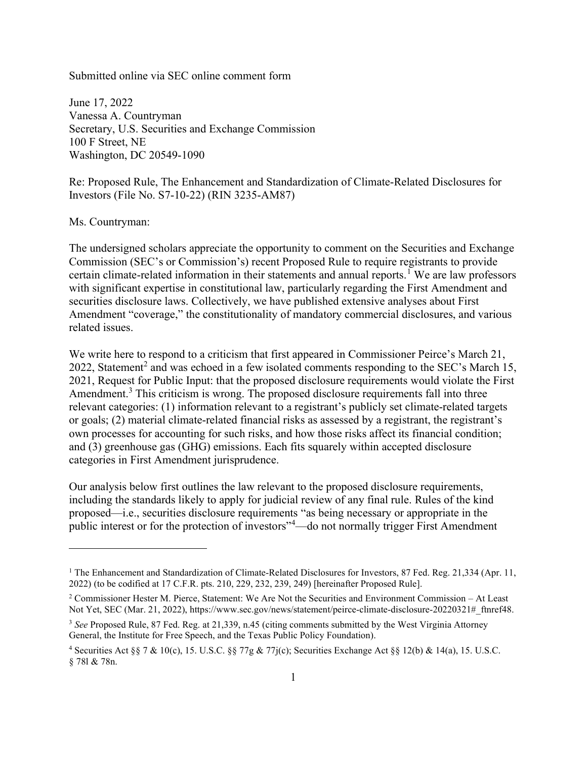Submitted online via SEC online comment form

June 17, 2022 Vanessa A. Countryman Secretary, U.S. Securities and Exchange Commission 100 F Street, NE Washington, DC 20549-1090

Re: Proposed Rule, The Enhancement and Standardization of Climate-Related Disclosures for Investors (File No. S7-10-22) (RIN 3235-AM87)

Ms. Countryman:

The undersigned scholars appreciate the opportunity to comment on the Securities and Exchange Commission (SEC's or Commission's) recent Proposed Rule to require registrants to provide certain climate-related information in their statements and annual reports.<sup>1</sup> We are law professors with significant expertise in constitutional law, particularly regarding the First Amendment and securities disclosure laws. Collectively, we have published extensive analyses about First Amendment "coverage," the constitutionality of mandatory commercial disclosures, and various related issues.

We write here to respond to a criticism that first appeared in Commissioner Peirce's March 21, 2022, Statement<sup>2</sup> and was echoed in a few isolated comments responding to the SEC's March 15, 2021, Request for Public Input: that the proposed disclosure requirements would violate the First Amendment.<sup>3</sup> This criticism is wrong. The proposed disclosure requirements fall into three relevant categories: (1) information relevant to a registrant's publicly set climate-related targets or goals; (2) material climate-related financial risks as assessed by a registrant, the registrant's own processes for accounting for such risks, and how those risks affect its financial condition; and (3) greenhouse gas (GHG) emissions. Each fits squarely within accepted disclosure categories in First Amendment jurisprudence.

Our analysis below first outlines the law relevant to the proposed disclosure requirements, including the standards likely to apply for judicial review of any final rule. Rules of the kind proposed—i.e., securities disclosure requirements "as being necessary or appropriate in the public interest or for the protection of investors"<sup>4</sup>—do not normally trigger First Amendment

<sup>&</sup>lt;sup>1</sup> The Enhancement and Standardization of Climate-Related Disclosures for Investors, 87 Fed. Reg. 21,334 (Apr. 11, 2022) (to be codified at 17 C.F.R. pts. 210, 229, 232, 239, 249) [hereinafter Proposed Rule].

<sup>&</sup>lt;sup>2</sup> Commissioner Hester M. Pierce, Statement: We Are Not the Securities and Environment Commission – At Least Not Yet, SEC (Mar. 21, 2022), https://www.sec.gov/news/statement/peirce-climate-disclosure-20220321# ftnref48.

 $3$  See Proposed Rule, 87 Fed. Reg. at 21,339, n.45 (citing comments submitted by the West Virginia Attorney General, the Institute for Free Speech, and the Texas Public Policy Foundation).

<sup>&</sup>lt;sup>4</sup> Securities Act §§ 7 & 10(c), 15. U.S.C. §§ 77g & 77j(c); Securities Exchange Act §§ 12(b) & 14(a), 15. U.S.C. § 78l & 78n.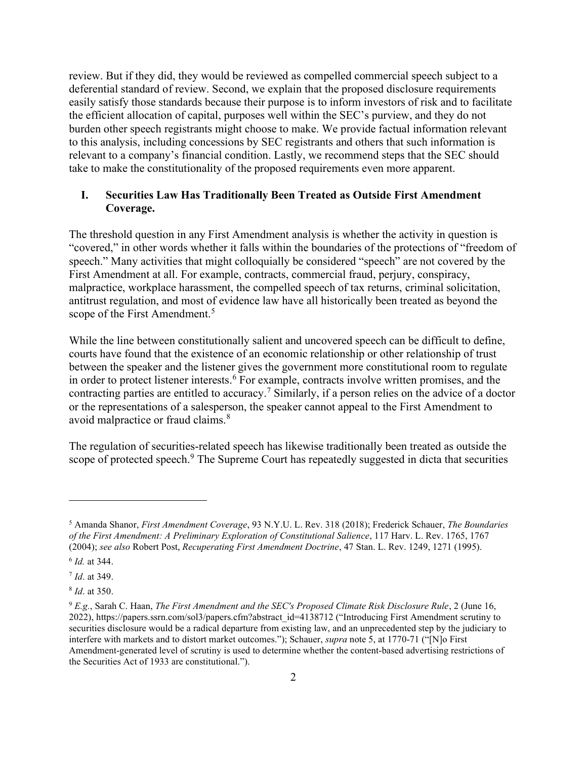review. But if they did, they would be reviewed as compelled commercial speech subject to a deferential standard of review. Second, we explain that the proposed disclosure requirements easily satisfy those standards because their purpose is to inform investors of risk and to facilitate the efficient allocation of capital, purposes well within the SEC's purview, and they do not burden other speech registrants might choose to make. We provide factual information relevant to this analysis, including concessions by SEC registrants and others that such information is relevant to a company's financial condition. Lastly, we recommend steps that the SEC should take to make the constitutionality of the proposed requirements even more apparent.

## I. Securities Law Has Traditionally Been Treated as Outside First Amendment Coverage.

The threshold question in any First Amendment analysis is whether the activity in question is "covered," in other words whether it falls within the boundaries of the protections of "freedom of speech." Many activities that might colloquially be considered "speech" are not covered by the First Amendment at all. For example, contracts, commercial fraud, perjury, conspiracy, malpractice, workplace harassment, the compelled speech of tax returns, criminal solicitation, antitrust regulation, and most of evidence law have all historically been treated as beyond the scope of the First Amendment.<sup>5</sup>

While the line between constitutionally salient and uncovered speech can be difficult to define, courts have found that the existence of an economic relationship or other relationship of trust between the speaker and the listener gives the government more constitutional room to regulate in order to protect listener interests.<sup>6</sup> For example, contracts involve written promises, and the contracting parties are entitled to accuracy.<sup>7</sup> Similarly, if a person relies on the advice of a doctor or the representations of a salesperson, the speaker cannot appeal to the First Amendment to avoid malpractice or fraud claims.<sup>8</sup>

The regulation of securities-related speech has likewise traditionally been treated as outside the scope of protected speech.<sup>9</sup> The Supreme Court has repeatedly suggested in dicta that securities

<sup>8</sup> *Id.* at 350.

<sup>&</sup>lt;sup>5</sup> Amanda Shanor, *First Amendment Coverage*, 93 N.Y.U. L. Rev. 318 (2018); Frederick Schauer, *The Boundaries* of the First Amendment: A Preliminary Exploration of Constitutional Salience, 117 Harv. L. Rev. 1765, 1767 (2004); see also Robert Post, Recuperating First Amendment Doctrine, 47 Stan. L. Rev. 1249, 1271 (1995).

<sup>&</sup>lt;sup>6</sup> *Id.* at 344.

<sup>&</sup>lt;sup>7</sup> *Id.* at 349.

<sup>9</sup> E.g., Sarah C. Haan, The First Amendment and the SEC's Proposed Climate Risk Disclosure Rule, 2 (June 16, 2022), https://papers.ssrn.com/sol3/papers.cfm?abstract\_id=4138712 ("Introducing First Amendment scrutiny to securities disclosure would be a radical departure from existing law, and an unprecedented step by the judiciary to interfere with markets and to distort market outcomes."); Schauer, supra note 5, at 1770-71 ("[N]o First Amendment-generated level of scrutiny is used to determine whether the content-based advertising restrictions of the Securities Act of 1933 are constitutional.").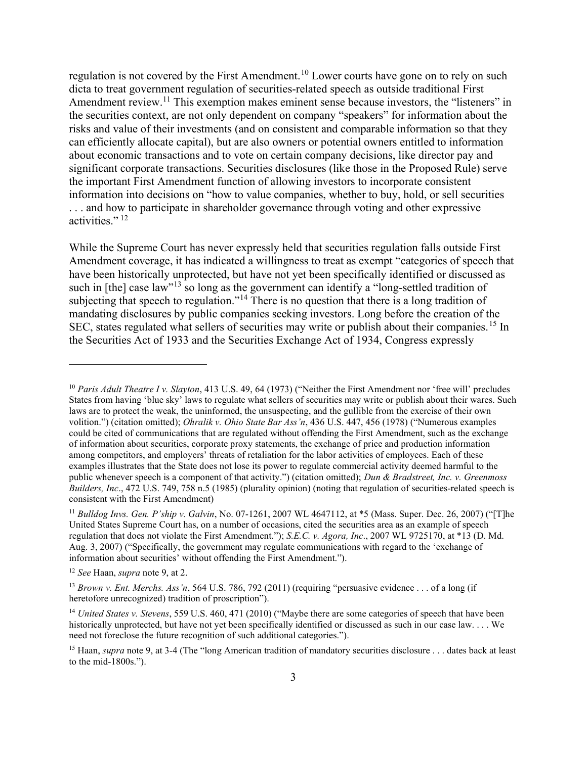regulation is not covered by the First Amendment.<sup>10</sup> Lower courts have gone on to rely on such dicta to treat government regulation of securities-related speech as outside traditional First Amendment review.<sup>11</sup> This exemption makes eminent sense because investors, the "listeners" in the securities context, are not only dependent on company "speakers" for information about the risks and value of their investments (and on consistent and comparable information so that they can efficiently allocate capital), but are also owners or potential owners entitled to information about economic transactions and to vote on certain company decisions, like director pay and significant corporate transactions. Securities disclosures (like those in the Proposed Rule) serve the important First Amendment function of allowing investors to incorporate consistent information into decisions on "how to value companies, whether to buy, hold, or sell securities . . . and how to participate in shareholder governance through voting and other expressive activities." $^{12}$ 

While the Supreme Court has never expressly held that securities regulation falls outside First Amendment coverage, it has indicated a willingness to treat as exempt "categories of speech that have been historically unprotected, but have not yet been specifically identified or discussed as such in [the] case law"<sup>13</sup> so long as the government can identify a "long-settled tradition of subjecting that speech to regulation."<sup>14</sup> There is no question that there is a long tradition of mandating disclosures by public companies seeking investors. Long before the creation of the SEC, states regulated what sellers of securities may write or publish about their companies.<sup>15</sup> In the Securities Act of 1933 and the Securities Exchange Act of 1934, Congress expressly

<sup>&</sup>lt;sup>10</sup> Paris Adult Theatre I v. Slayton, 413 U.S. 49, 64 (1973) ("Neither the First Amendment nor 'free will' precludes States from having 'blue sky' laws to regulate what sellers of securities may write or publish about their wares. Such laws are to protect the weak, the uninformed, the unsuspecting, and the gullible from the exercise of their own volition.") (citation omitted); Ohralik v. Ohio State Bar Ass'n, 436 U.S. 447, 456 (1978) ("Numerous examples could be cited of communications that are regulated without offending the First Amendment, such as the exchange of information about securities, corporate proxy statements, the exchange of price and production information among competitors, and employers' threats of retaliation for the labor activities of employees. Each of these examples illustrates that the State does not lose its power to regulate commercial activity deemed harmful to the public whenever speech is a component of that activity.") (citation omitted); Dun & Bradstreet, Inc. v. Greenmoss Builders, Inc., 472 U.S. 749, 758 n.5 (1985) (plurality opinion) (noting that regulation of securities-related speech is consistent with the First Amendment)

<sup>&</sup>lt;sup>11</sup> Bulldog Invs. Gen. P'ship v. Galvin, No. 07-1261, 2007 WL 4647112, at \*5 (Mass. Super. Dec. 26, 2007) ("[T]he United States Supreme Court has, on a number of occasions, cited the securities area as an example of speech regulation that does not violate the First Amendment."); S.E.C. v. Agora, Inc., 2007 WL 9725170, at \*13 (D. Md. Aug. 3, 2007) ("Specifically, the government may regulate communications with regard to the 'exchange of information about securities' without offending the First Amendment.").

<sup>&</sup>lt;sup>12</sup> See Haan, supra note 9, at 2.

<sup>&</sup>lt;sup>13</sup> Brown v. Ent. Merchs. Ass'n, 564 U.S. 786, 792 (2011) (requiring "persuasive evidence . . . of a long (if heretofore unrecognized) tradition of proscription").

<sup>&</sup>lt;sup>14</sup> United States v. Stevens, 559 U.S. 460, 471 (2010) ("Maybe there are some categories of speech that have been historically unprotected, but have not yet been specifically identified or discussed as such in our case law. . . . We need not foreclose the future recognition of such additional categories.").

<sup>&</sup>lt;sup>15</sup> Haan, *supra* note 9, at 3-4 (The "long American tradition of mandatory securities disclosure . . . dates back at least to the mid-1800s.").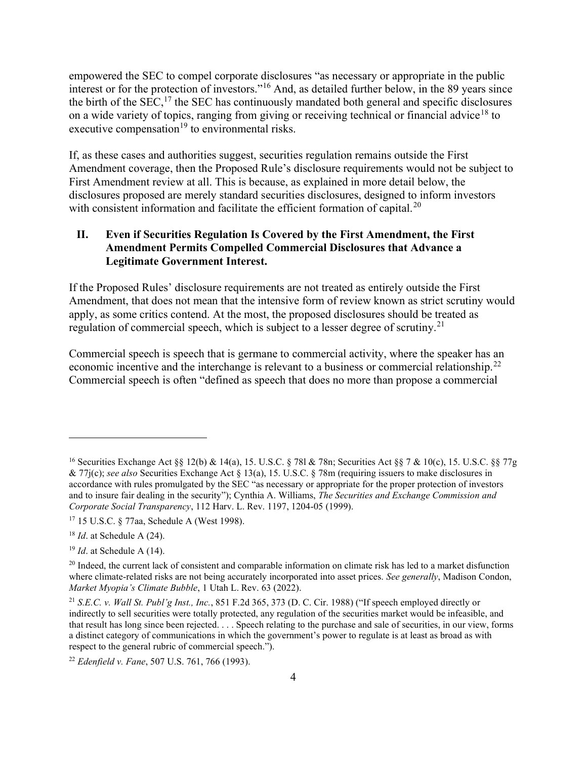empowered the SEC to compel corporate disclosures "as necessary or appropriate in the public interest or for the protection of investors."<sup>16</sup> And, as detailed further below, in the 89 years since the birth of the  $SEC<sub>1</sub><sup>17</sup>$  the SEC has continuously mandated both general and specific disclosures on a wide variety of topics, ranging from giving or receiving technical or financial advice<sup>18</sup> to executive compensation<sup>19</sup> to environmental risks.

If, as these cases and authorities suggest, securities regulation remains outside the First Amendment coverage, then the Proposed Rule's disclosure requirements would not be subject to First Amendment review at all. This is because, as explained in more detail below, the disclosures proposed are merely standard securities disclosures, designed to inform investors with consistent information and facilitate the efficient formation of capital.<sup>20</sup>

## II. Even if Securities Regulation Is Covered by the First Amendment, the First Amendment Permits Compelled Commercial Disclosures that Advance a Legitimate Government Interest.

If the Proposed Rules' disclosure requirements are not treated as entirely outside the First Amendment, that does not mean that the intensive form of review known as strict scrutiny would apply, as some critics contend. At the most, the proposed disclosures should be treated as regulation of commercial speech, which is subject to a lesser degree of scrutiny.<sup>21</sup>

Commercial speech is speech that is germane to commercial activity, where the speaker has an economic incentive and the interchange is relevant to a business or commercial relationship.<sup>22</sup> Commercial speech is often "defined as speech that does no more than propose a commercial

<sup>&</sup>lt;sup>16</sup> Securities Exchange Act  $\S$  12(b) & 14(a), 15. U.S.C.  $\S$  781 & 78n; Securities Act  $\S$   $\S$   $\gamma$  & 10(c), 15. U.S.C.  $\S$   $\S$   $77g$ & 77j(c); see also Securities Exchange Act § 13(a), 15. U.S.C. § 78m (requiring issuers to make disclosures in accordance with rules promulgated by the SEC "as necessary or appropriate for the proper protection of investors and to insure fair dealing in the security"); Cynthia A. Williams, The Securities and Exchange Commission and Corporate Social Transparency, 112 Harv. L. Rev. 1197, 1204-05 (1999).

<sup>17</sup> 15 U.S.C. § 77aa, Schedule A (West 1998).

 $18$  *Id.* at Schedule A (24).

 $19$  *Id.* at Schedule A (14).

 $^{20}$  Indeed, the current lack of consistent and comparable information on climate risk has led to a market disfunction where climate-related risks are not being accurately incorporated into asset prices. See generally, Madison Condon, Market Myopia's Climate Bubble, 1 Utah L. Rev. 63 (2022).

<sup>21</sup> S.E.C. v. Wall St. Publ'g Inst., Inc., 851 F.2d 365, 373 (D. C. Cir. 1988) ("If speech employed directly or indirectly to sell securities were totally protected, any regulation of the securities market would be infeasible, and that result has long since been rejected. . . . Speech relating to the purchase and sale of securities, in our view, forms a distinct category of communications in which the government's power to regulate is at least as broad as with respect to the general rubric of commercial speech.").

 $22$  Edenfield v. Fane, 507 U.S. 761, 766 (1993).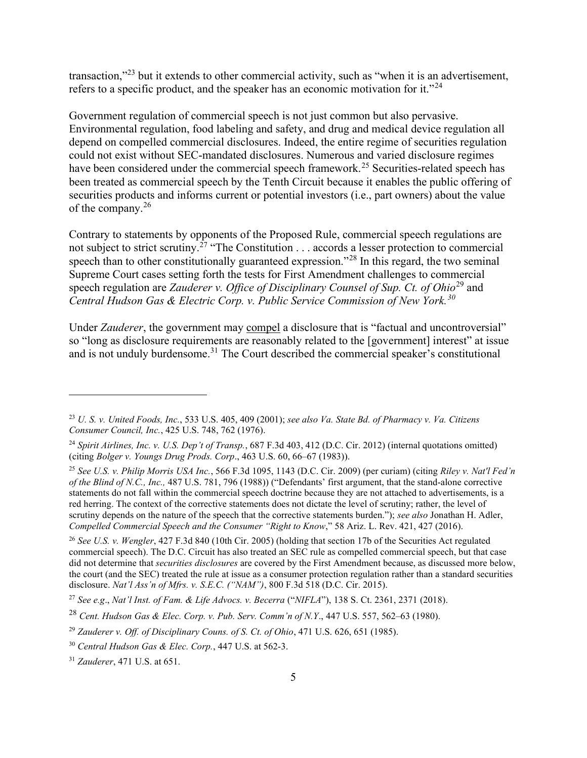transaction,"<sup>23</sup> but it extends to other commercial activity, such as "when it is an advertisement, refers to a specific product, and the speaker has an economic motivation for it."<sup>24</sup>

Government regulation of commercial speech is not just common but also pervasive. Environmental regulation, food labeling and safety, and drug and medical device regulation all depend on compelled commercial disclosures. Indeed, the entire regime of securities regulation could not exist without SEC-mandated disclosures. Numerous and varied disclosure regimes have been considered under the commercial speech framework.<sup>25</sup> Securities-related speech has been treated as commercial speech by the Tenth Circuit because it enables the public offering of securities products and informs current or potential investors (i.e., part owners) about the value of the company.<sup>26</sup>

Contrary to statements by opponents of the Proposed Rule, commercial speech regulations are not subject to strict scrutiny.<sup>27</sup> "The Constitution . . . accords a lesser protection to commercial speech than to other constitutionally guaranteed expression."<sup>28</sup> In this regard, the two seminal Supreme Court cases setting forth the tests for First Amendment challenges to commercial speech regulation are Zauderer v. Office of Disciplinary Counsel of Sup. Ct. of Ohio<sup>29</sup> and Central Hudson Gas & Electric Corp. v. Public Service Commission of New York.<sup>30</sup>

Under *Zauderer*, the government may compel a disclosure that is "factual and uncontroversial" so "long as disclosure requirements are reasonably related to the [government] interest" at issue and is not unduly burdensome.<sup>31</sup> The Court described the commercial speaker's constitutional

 $23$  U. S. v. United Foods, Inc., 533 U.S. 405, 409 (2001); see also Va. State Bd. of Pharmacy v. Va. Citizens Consumer Council, Inc., 425 U.S. 748, 762 (1976).

<sup>&</sup>lt;sup>24</sup> Spirit Airlines, Inc. v. U.S. Dep't of Transp., 687 F.3d 403, 412 (D.C. Cir. 2012) (internal quotations omitted) (citing Bolger v. Youngs Drug Prods. Corp., 463 U.S. 60, 66–67 (1983)).

<sup>&</sup>lt;sup>25</sup> See U.S. v. Philip Morris USA Inc., 566 F.3d 1095, 1143 (D.C. Cir. 2009) (per curiam) (citing Riley v. Nat'l Fed'n of the Blind of N.C., Inc., 487 U.S. 781, 796 (1988)) ("Defendants' first argument, that the stand-alone corrective statements do not fall within the commercial speech doctrine because they are not attached to advertisements, is a red herring. The context of the corrective statements does not dictate the level of scrutiny; rather, the level of scrutiny depends on the nature of the speech that the corrective statements burden."); see also Jonathan H. Adler, Compelled Commercial Speech and the Consumer "Right to Know," 58 Ariz. L. Rev. 421, 427 (2016).

<sup>&</sup>lt;sup>26</sup> See U.S. v. Wengler, 427 F.3d 840 (10th Cir. 2005) (holding that section 17b of the Securities Act regulated commercial speech). The D.C. Circuit has also treated an SEC rule as compelled commercial speech, but that case did not determine that *securities disclosures* are covered by the First Amendment because, as discussed more below, the court (and the SEC) treated the rule at issue as a consumer protection regulation rather than a standard securities disclosure. Nat'l Ass'n of Mfrs. v. S.E.C. ("NAM"), 800 F.3d 518 (D.C. Cir. 2015).

<sup>&</sup>lt;sup>27</sup> See e.g., Nat'l Inst. of Fam. & Life Advocs. v. Becerra ("NIFLA"), 138 S. Ct. 2361, 2371 (2018).

<sup>&</sup>lt;sup>28</sup> Cent. Hudson Gas & Elec. Corp. v. Pub. Serv. Comm'n of N.Y., 447 U.S. 557, 562–63 (1980).

 $^{29}$  Zauderer v. Off. of Disciplinary Couns. of S. Ct. of Ohio, 471 U.S. 626, 651 (1985).

<sup>30</sup> Central Hudson Gas & Elec. Corp., 447 U.S. at 562-3.

<sup>31</sup> Zauderer, 471 U.S. at 651.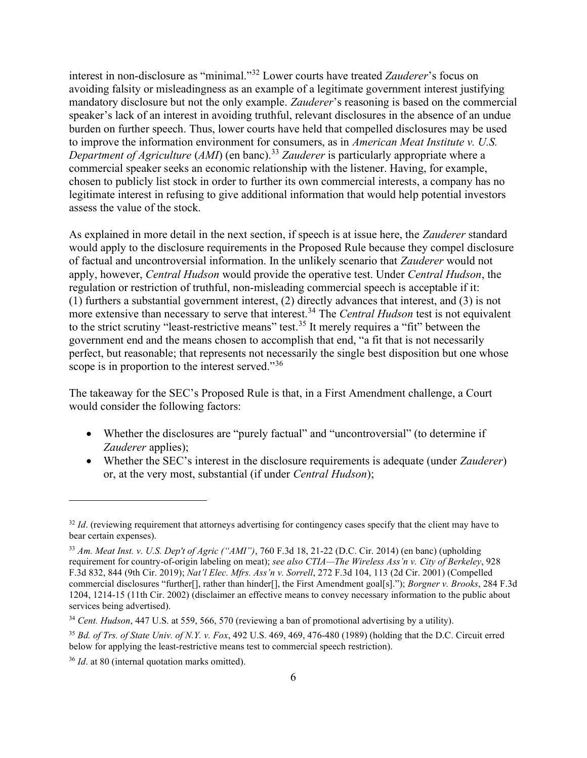interest in non-disclosure as "minimal."<sup>32</sup> Lower courts have treated Zauderer's focus on avoiding falsity or misleadingness as an example of a legitimate government interest justifying mandatory disclosure but not the only example. Zauderer's reasoning is based on the commercial speaker's lack of an interest in avoiding truthful, relevant disclosures in the absence of an undue burden on further speech. Thus, lower courts have held that compelled disclosures may be used to improve the information environment for consumers, as in American Meat Institute v. U.S. Department of Agriculture (AMI) (en banc).<sup>33</sup> Zauderer is particularly appropriate where a commercial speaker seeks an economic relationship with the listener. Having, for example, chosen to publicly list stock in order to further its own commercial interests, a company has no legitimate interest in refusing to give additional information that would help potential investors assess the value of the stock.

As explained in more detail in the next section, if speech is at issue here, the Zauderer standard would apply to the disclosure requirements in the Proposed Rule because they compel disclosure of factual and uncontroversial information. In the unlikely scenario that Zauderer would not apply, however, Central Hudson would provide the operative test. Under Central Hudson, the regulation or restriction of truthful, non-misleading commercial speech is acceptable if it: (1) furthers a substantial government interest, (2) directly advances that interest, and (3) is not more extensive than necessary to serve that interest.<sup>34</sup> The *Central Hudson* test is not equivalent to the strict scrutiny "least-restrictive means" test.<sup>35</sup> It merely requires a "fit" between the government end and the means chosen to accomplish that end, "a fit that is not necessarily perfect, but reasonable; that represents not necessarily the single best disposition but one whose scope is in proportion to the interest served."<sup>36</sup>

The takeaway for the SEC's Proposed Rule is that, in a First Amendment challenge, a Court would consider the following factors:

- Whether the disclosures are "purely factual" and "uncontroversial" (to determine if Zauderer applies);
- Whether the SEC's interest in the disclosure requirements is adequate (under *Zauderer*) or, at the very most, substantial (if under Central Hudson);

 $32$  Id. (reviewing requirement that attorneys advertising for contingency cases specify that the client may have to bear certain expenses).

 $33$  Am. Meat Inst. v. U.S. Dep't of Agric ("AMI"), 760 F.3d 18, 21-22 (D.C. Cir. 2014) (en banc) (upholding requirement for country-of-origin labeling on meat); see also CTIA—The Wireless Ass'n v. City of Berkeley, 928 F.3d 832, 844 (9th Cir. 2019); Nat'l Elec. Mfrs. Ass'n v. Sorrell, 272 F.3d 104, 113 (2d Cir. 2001) (Compelled commercial disclosures "further[], rather than hinder[], the First Amendment goal[s]."); Borgner v. Brooks, 284 F.3d 1204, 1214-15 (11th Cir. 2002) (disclaimer an effective means to convey necessary information to the public about services being advertised).

<sup>&</sup>lt;sup>34</sup> Cent. Hudson, 447 U.S. at 559, 566, 570 (reviewing a ban of promotional advertising by a utility).

 $35$  Bd. of Trs. of State Univ. of N.Y. v. Fox, 492 U.S. 469, 469, 476-480 (1989) (holding that the D.C. Circuit erred below for applying the least-restrictive means test to commercial speech restriction).

 $36$  *Id.* at 80 (internal quotation marks omitted).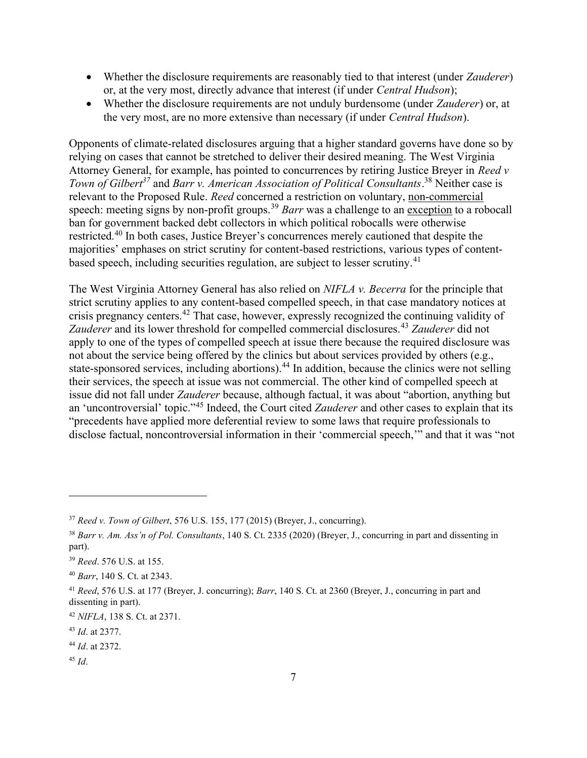- Whether the disclosure requirements are reasonably tied to that interest (under *Zauderer*) or, at the very most, directly advance that interest (if under Central Hudson);
- Whether the disclosure requirements are not unduly burdensome (under *Zauderer*) or, at the very most, are no more extensive than necessary (if under Central Hudson).

Opponents of climate-related disclosures arguing that a higher standard governs have done so by relying on cases that cannot be stretched to deliver their desired meaning. The West Virginia Attorney General, for example, has pointed to concurrences by retiring Justice Breyer in Reed v Town of Gilbert<sup>37</sup> and Barr v. American Association of Political Consultants.<sup>38</sup> Neither case is relevant to the Proposed Rule. Reed concerned a restriction on voluntary, non-commercial speech: meeting signs by non-profit groups.<sup>39</sup> Barr was a challenge to an exception to a robocall ban for government backed debt collectors in which political robocalls were otherwise restricted.<sup>40</sup> In both cases, Justice Breyer's concurrences merely cautioned that despite the majorities' emphases on strict scrutiny for content-based restrictions, various types of contentbased speech, including securities regulation, are subject to lesser scrutiny.<sup>41</sup>

The West Virginia Attorney General has also relied on *NIFLA v. Becerra* for the principle that strict scrutiny applies to any content-based compelled speech, in that case mandatory notices at crisis pregnancy centers.<sup>42</sup> That case, however, expressly recognized the continuing validity of Zauderer and its lower threshold for compelled commercial disclosures.<sup>43</sup> Zauderer did not apply to one of the types of compelled speech at issue there because the required disclosure was not about the service being offered by the clinics but about services provided by others (e.g., state-sponsored services, including abortions).<sup>44</sup> In addition, because the clinics were not selling their services, the speech at issue was not commercial. The other kind of compelled speech at issue did not fall under Zauderer because, although factual, it was about "abortion, anything but an 'uncontroversial' topic."<sup>45</sup> Indeed, the Court cited *Zauderer* and other cases to explain that its "precedents have applied more deferential review to some laws that require professionals to disclose factual, noncontroversial information in their 'commercial speech,'" and that it was "not

 $45$  Id.

 $37$  Reed v. Town of Gilbert, 576 U.S. 155, 177 (2015) (Breyer, J., concurring).

 $38$  Barr v. Am. Ass'n of Pol. Consultants, 140 S. Ct. 2335 (2020) (Brever, J., concurring in part and dissenting in part).

<sup>39</sup> Reed. 576 U.S. at 155.

<sup>40</sup> Barr, 140 S. Ct. at 2343.

<sup>&</sup>lt;sup>41</sup> Reed, 576 U.S. at 177 (Breyer, J. concurring); Barr, 140 S. Ct. at 2360 (Breyer, J., concurring in part and dissenting in part).

<sup>42</sup> NIFLA, 138 S. Ct. at 2371.

<sup>43</sup> Id. at 2377.

<sup>44</sup> Id. at 2372.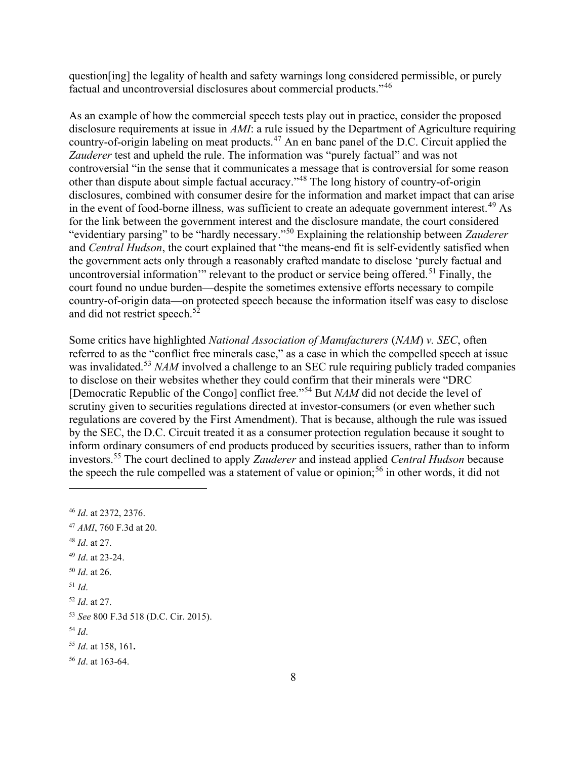question[ing] the legality of health and safety warnings long considered permissible, or purely factual and uncontroversial disclosures about commercial products."<sup>46</sup>

As an example of how the commercial speech tests play out in practice, consider the proposed disclosure requirements at issue in AMI: a rule issued by the Department of Agriculture requiring country-of-origin labeling on meat products.<sup>47</sup> An en banc panel of the D.C. Circuit applied the Zauderer test and upheld the rule. The information was "purely factual" and was not controversial "in the sense that it communicates a message that is controversial for some reason other than dispute about simple factual accuracy."<sup>48</sup> The long history of country-of-origin disclosures, combined with consumer desire for the information and market impact that can arise in the event of food-borne illness, was sufficient to create an adequate government interest.<sup>49</sup> As for the link between the government interest and the disclosure mandate, the court considered "evidentiary parsing" to be "hardly necessary."<sup>50</sup> Explaining the relationship between Zauderer and Central Hudson, the court explained that "the means-end fit is self-evidently satisfied when the government acts only through a reasonably crafted mandate to disclose 'purely factual and uncontroversial information'" relevant to the product or service being offered.<sup>51</sup> Finally, the court found no undue burden—despite the sometimes extensive efforts necessary to compile country-of-origin data—on protected speech because the information itself was easy to disclose and did not restrict speech.<sup>52</sup>

Some critics have highlighted National Association of Manufacturers (NAM) v. SEC, often referred to as the "conflict free minerals case," as a case in which the compelled speech at issue was invalidated.<sup>53</sup> NAM involved a challenge to an SEC rule requiring publicly traded companies to disclose on their websites whether they could confirm that their minerals were "DRC [Democratic Republic of the Congo] conflict free."<sup>54</sup> But NAM did not decide the level of scrutiny given to securities regulations directed at investor-consumers (or even whether such regulations are covered by the First Amendment). That is because, although the rule was issued by the SEC, the D.C. Circuit treated it as a consumer protection regulation because it sought to inform ordinary consumers of end products produced by securities issuers, rather than to inform investors.<sup>55</sup> The court declined to apply *Zauderer* and instead applied *Central Hudson* because the speech the rule compelled was a statement of value or opinion;<sup>56</sup> in other words, it did not

 AMI, 760 F.3d at 20. *Id.* at 27. Id. at 23-24. *Id.* at 26.  $51$  Id. Id. at 27. See 800 F.3d 518 (D.C. Cir. 2015).  $54$  Id. Id. at 158, 161. *Id.* at 163-64.

<sup>46</sup> Id. at 2372, 2376.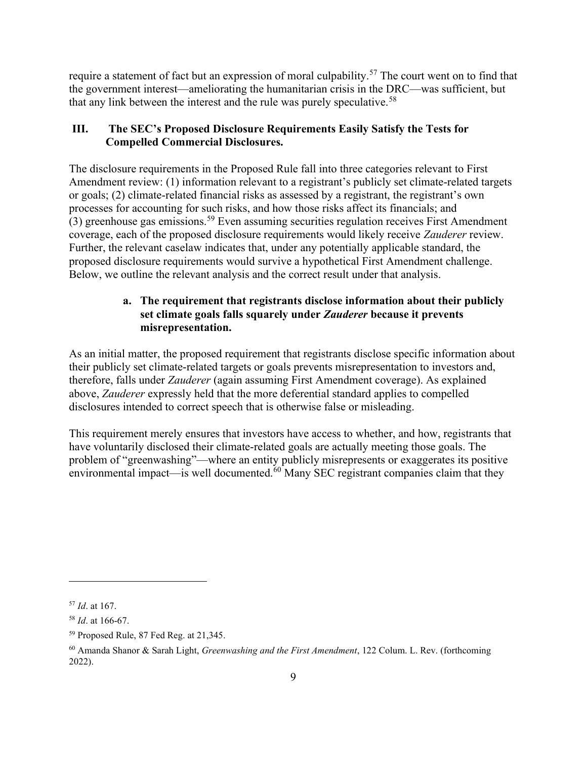require a statement of fact but an expression of moral culpability.<sup>57</sup> The court went on to find that the government interest—ameliorating the humanitarian crisis in the DRC—was sufficient, but that any link between the interest and the rule was purely speculative.<sup>58</sup>

# III. The SEC's Proposed Disclosure Requirements Easily Satisfy the Tests for Compelled Commercial Disclosures.

The disclosure requirements in the Proposed Rule fall into three categories relevant to First Amendment review: (1) information relevant to a registrant's publicly set climate-related targets or goals; (2) climate-related financial risks as assessed by a registrant, the registrant's own processes for accounting for such risks, and how those risks affect its financials; and (3) greenhouse gas emissions.<sup>59</sup> Even assuming securities regulation receives First Amendment coverage, each of the proposed disclosure requirements would likely receive Zauderer review. Further, the relevant caselaw indicates that, under any potentially applicable standard, the proposed disclosure requirements would survive a hypothetical First Amendment challenge. Below, we outline the relevant analysis and the correct result under that analysis.

## a. The requirement that registrants disclose information about their publicly set climate goals falls squarely under Zauderer because it prevents misrepresentation.

As an initial matter, the proposed requirement that registrants disclose specific information about their publicly set climate-related targets or goals prevents misrepresentation to investors and, therefore, falls under Zauderer (again assuming First Amendment coverage). As explained above, Zauderer expressly held that the more deferential standard applies to compelled disclosures intended to correct speech that is otherwise false or misleading.

This requirement merely ensures that investors have access to whether, and how, registrants that have voluntarily disclosed their climate-related goals are actually meeting those goals. The problem of "greenwashing"—where an entity publicly misrepresents or exaggerates its positive environmental impact—is well documented.<sup>60</sup> Many SEC registrant companies claim that they

 $57$  *Id.* at 167.

<sup>58</sup> Id. at 166-67.

<sup>59</sup> Proposed Rule, 87 Fed Reg. at 21,345.

 $60$  Amanda Shanor & Sarah Light, Greenwashing and the First Amendment, 122 Colum. L. Rev. (forthcoming 2022).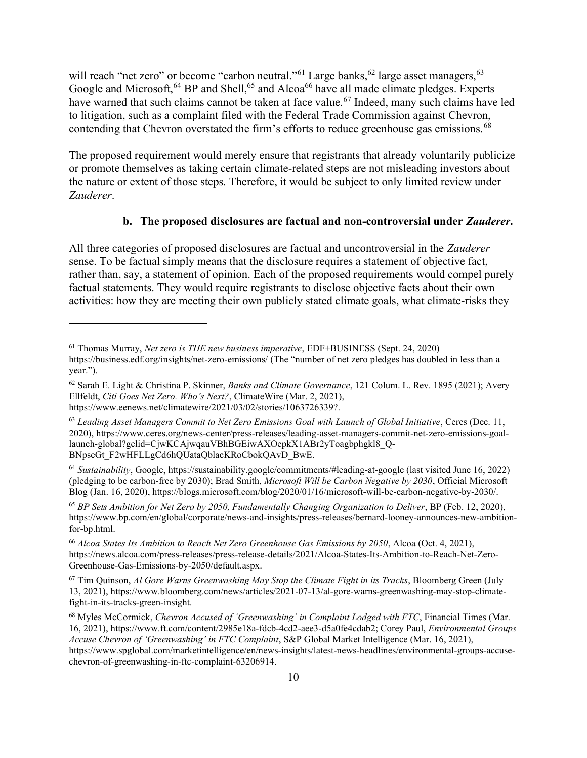will reach "net zero" or become "carbon neutral."<sup>61</sup> Large banks,<sup>62</sup> large asset managers,<sup>63</sup> Google and Microsoft,  $64$  BP and Shell,  $65$  and Alcoa<sup>66</sup> have all made climate pledges. Experts have warned that such claims cannot be taken at face value.<sup>67</sup> Indeed, many such claims have led to litigation, such as a complaint filed with the Federal Trade Commission against Chevron, contending that Chevron overstated the firm's efforts to reduce greenhouse gas emissions.<sup>68</sup>

The proposed requirement would merely ensure that registrants that already voluntarily publicize or promote themselves as taking certain climate-related steps are not misleading investors about the nature or extent of those steps. Therefore, it would be subject to only limited review under Zauderer.

### b. The proposed disclosures are factual and non-controversial under *Zauderer*.

All three categories of proposed disclosures are factual and uncontroversial in the Zauderer sense. To be factual simply means that the disclosure requires a statement of objective fact, rather than, say, a statement of opinion. Each of the proposed requirements would compel purely factual statements. They would require registrants to disclose objective facts about their own activities: how they are meeting their own publicly stated climate goals, what climate-risks they

 $61$  Thomas Murray, Net zero is THE new business imperative, EDF+BUSINESS (Sept. 24, 2020) https://business.edf.org/insights/net-zero-emissions/ (The "number of net zero pledges has doubled in less than a year.").

 $62$  Sarah E. Light & Christina P. Skinner, Banks and Climate Governance, 121 Colum. L. Rev. 1895 (2021); Avery Ellfeldt, Citi Goes Net Zero. Who's Next?, ClimateWire (Mar. 2, 2021), https://www.eenews.net/climatewire/2021/03/02/stories/1063726339?.

 $63$  Leading Asset Managers Commit to Net Zero Emissions Goal with Launch of Global Initiative, Ceres (Dec. 11, 2020), https://www.ceres.org/news-center/press-releases/leading-asset-managers-commit-net-zero-emissions-goallaunch-global?gclid=CjwKCAjwqauVBhBGEiwAXOepkX1ABr2yToagbphgkl8\_Q-BNpseGt\_F2wHFLLgCd6hQUataQblacKRoCbokQAvD\_BwE.

<sup>64</sup> Sustainability, Google, https://sustainability.google/commitments/#leading-at-google (last visited June 16, 2022) (pledging to be carbon-free by 2030); Brad Smith, Microsoft Will be Carbon Negative by 2030, Official Microsoft Blog (Jan. 16, 2020), https://blogs.microsoft.com/blog/2020/01/16/microsoft-will-be-carbon-negative-by-2030/.

<sup>65</sup> BP Sets Ambition for Net Zero by 2050, Fundamentally Changing Organization to Deliver, BP (Feb. 12, 2020), https://www.bp.com/en/global/corporate/news-and-insights/press-releases/bernard-looney-announces-new-ambitionfor-bp.html.

<sup>66</sup> Alcoa States Its Ambition to Reach Net Zero Greenhouse Gas Emissions by 2050, Alcoa (Oct. 4, 2021), https://news.alcoa.com/press-releases/press-release-details/2021/Alcoa-States-Its-Ambition-to-Reach-Net-Zero-Greenhouse-Gas-Emissions-by-2050/default.aspx.

 $67$  Tim Quinson, Al Gore Warns Greenwashing May Stop the Climate Fight in its Tracks, Bloomberg Green (July 13, 2021), https://www.bloomberg.com/news/articles/2021-07-13/al-gore-warns-greenwashing-may-stop-climatefight-in-its-tracks-green-insight.

<sup>&</sup>lt;sup>68</sup> Myles McCormick, Chevron Accused of 'Greenwashing' in Complaint Lodged with FTC, Financial Times (Mar. 16, 2021), https://www.ft.com/content/2985e18a-fdcb-4cd2-aee3-d5a0fe4cdab2; Corey Paul, Environmental Groups Accuse Chevron of 'Greenwashing' in FTC Complaint, S&P Global Market Intelligence (Mar. 16, 2021), https://www.spglobal.com/marketintelligence/en/news-insights/latest-news-headlines/environmental-groups-accusechevron-of-greenwashing-in-ftc-complaint-63206914.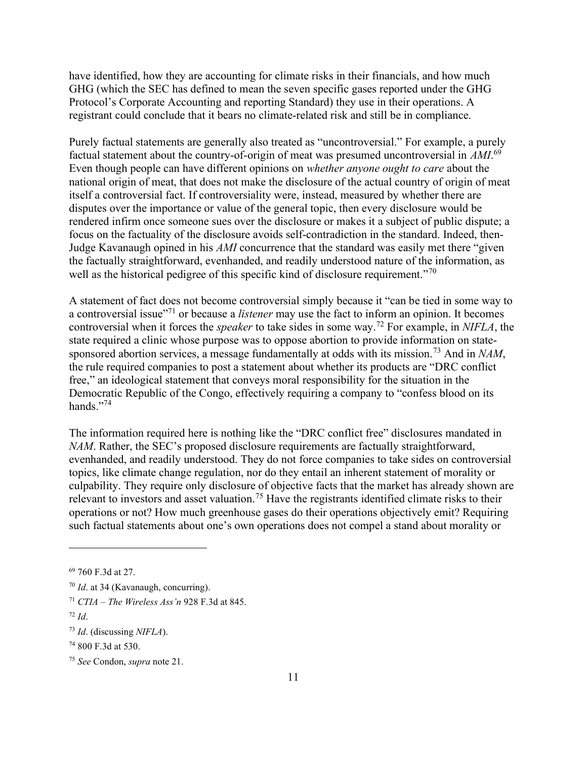have identified, how they are accounting for climate risks in their financials, and how much GHG (which the SEC has defined to mean the seven specific gases reported under the GHG Protocol's Corporate Accounting and reporting Standard) they use in their operations. A registrant could conclude that it bears no climate-related risk and still be in compliance.

Purely factual statements are generally also treated as "uncontroversial." For example, a purely factual statement about the country-of-origin of meat was presumed uncontroversial in  $AMI$ .<sup>69</sup> Even though people can have different opinions on whether anyone ought to care about the national origin of meat, that does not make the disclosure of the actual country of origin of meat itself a controversial fact. If controversiality were, instead, measured by whether there are disputes over the importance or value of the general topic, then every disclosure would be rendered infirm once someone sues over the disclosure or makes it a subject of public dispute; a focus on the factuality of the disclosure avoids self-contradiction in the standard. Indeed, then-Judge Kavanaugh opined in his AMI concurrence that the standard was easily met there "given the factually straightforward, evenhanded, and readily understood nature of the information, as well as the historical pedigree of this specific kind of disclosure requirement."<sup>70</sup>

A statement of fact does not become controversial simply because it "can be tied in some way to a controversial issue"<sup>71</sup> or because a *listener* may use the fact to inform an opinion. It becomes controversial when it forces the *speaker* to take sides in some way.<sup>72</sup> For example, in NIFLA, the state required a clinic whose purpose was to oppose abortion to provide information on statesponsored abortion services, a message fundamentally at odds with its mission.<sup>73</sup> And in NAM, the rule required companies to post a statement about whether its products are "DRC conflict free," an ideological statement that conveys moral responsibility for the situation in the Democratic Republic of the Congo, effectively requiring a company to "confess blood on its hands."<sup>74</sup>

The information required here is nothing like the "DRC conflict free" disclosures mandated in NAM. Rather, the SEC's proposed disclosure requirements are factually straightforward, evenhanded, and readily understood. They do not force companies to take sides on controversial topics, like climate change regulation, nor do they entail an inherent statement of morality or culpability. They require only disclosure of objective facts that the market has already shown are relevant to investors and asset valuation.<sup>75</sup> Have the registrants identified climate risks to their operations or not? How much greenhouse gases do their operations objectively emit? Requiring such factual statements about one's own operations does not compel a stand about morality or

<sup>69</sup> 760 F.3d at 27.

 $70$  *Id.* at 34 (Kavanaugh, concurring).

<sup>&</sup>lt;sup>71</sup> CTIA – The Wireless Ass'n 928 F.3d at 845.

<sup>72</sup> Id.

 $73$  *Id.* (discussing *NIFLA*).

<sup>74</sup> 800 F.3d at 530.

<sup>75</sup> See Condon, supra note 21.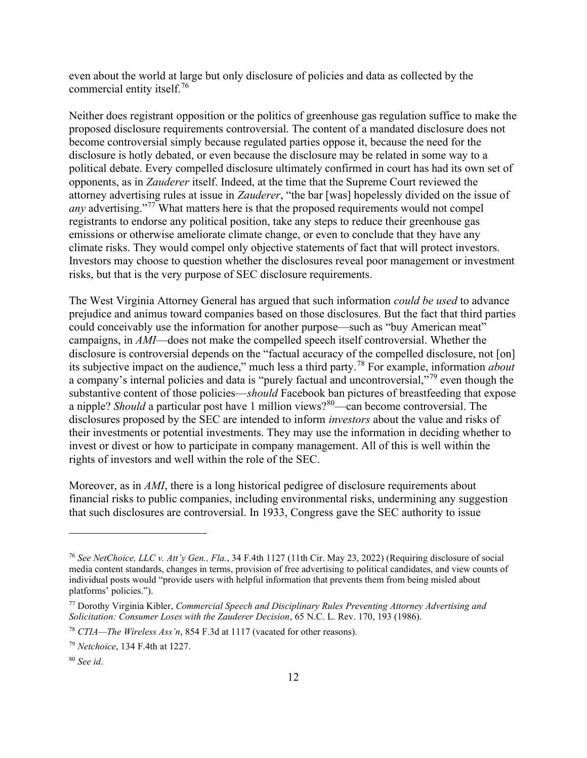even about the world at large but only disclosure of policies and data as collected by the commercial entity itself.<sup>76</sup>

Neither does registrant opposition or the politics of greenhouse gas regulation suffice to make the proposed disclosure requirements controversial. The content of a mandated disclosure does not become controversial simply because regulated parties oppose it, because the need for the disclosure is hotly debated, or even because the disclosure may be related in some way to a political debate. Every compelled disclosure ultimately confirmed in court has had its own set of opponents, as in Zauderer itself. Indeed, at the time that the Supreme Court reviewed the attorney advertising rules at issue in Zauderer, "the bar [was] hopelessly divided on the issue of any advertising."<sup>77</sup> What matters here is that the proposed requirements would not compel registrants to endorse any political position, take any steps to reduce their greenhouse gas emissions or otherwise ameliorate climate change, or even to conclude that they have any climate risks. They would compel only objective statements of fact that will protect investors. Investors may choose to question whether the disclosures reveal poor management or investment risks, but that is the very purpose of SEC disclosure requirements.

The West Virginia Attorney General has argued that such information *could be used* to advance prejudice and animus toward companies based on those disclosures. But the fact that third parties could conceivably use the information for another purpose—such as "buy American meat" campaigns, in AMI—does not make the compelled speech itself controversial. Whether the disclosure is controversial depends on the "factual accuracy of the compelled disclosure, not [on] its subjective impact on the audience," much less a third party.<sup>78</sup> For example, information *about* a company's internal policies and data is "purely factual and uncontroversial,"<sup>79</sup> even though the substantive content of those policies—should Facebook ban pictures of breastfeeding that expose a nipple? Should a particular post have 1 million views?<sup>80</sup>—can become controversial. The disclosures proposed by the SEC are intended to inform investors about the value and risks of their investments or potential investments. They may use the information in deciding whether to invest or divest or how to participate in company management. All of this is well within the rights of investors and well within the role of the SEC.

Moreover, as in AMI, there is a long historical pedigree of disclosure requirements about financial risks to public companies, including environmental risks, undermining any suggestion that such disclosures are controversial. In 1933, Congress gave the SEC authority to issue

<sup>&</sup>lt;sup>76</sup> See NetChoice, LLC v. Att'y Gen., Fla., 34 F.4th 1127 (11th Cir. May 23, 2022) (Requiring disclosure of social media content standards, changes in terms, provision of free advertising to political candidates, and view counts of individual posts would "provide users with helpful information that prevents them from being misled about platforms' policies.").

 $77$  Dorothy Virginia Kibler, Commercial Speech and Disciplinary Rules Preventing Attorney Advertising and Solicitation: Consumer Loses with the Zauderer Decision, 65 N.C. L. Rev. 170, 193 (1986).

<sup>&</sup>lt;sup>78</sup> CTIA—The Wireless Ass'n, 854 F.3d at 1117 (vacated for other reasons).

<sup>79</sup> Netchoice, 134 F.4th at 1227.

 $80$  See id.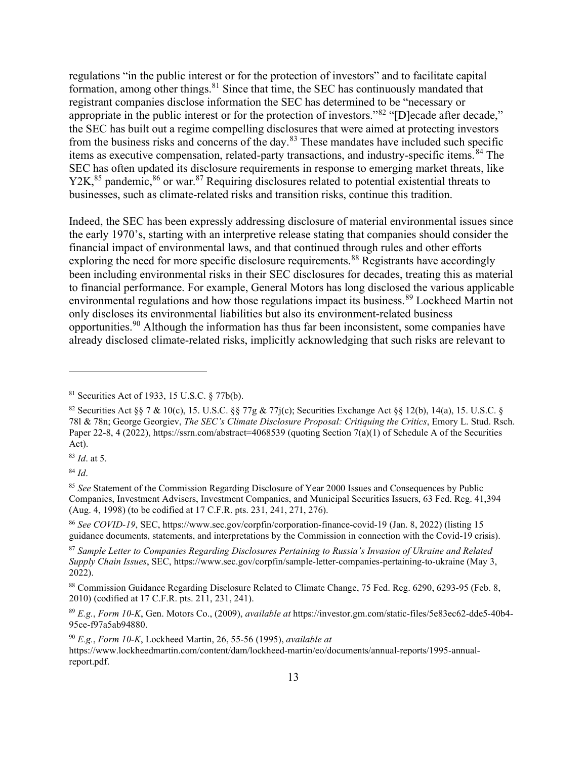regulations "in the public interest or for the protection of investors" and to facilitate capital formation, among other things. $81$  Since that time, the SEC has continuously mandated that registrant companies disclose information the SEC has determined to be "necessary or appropriate in the public interest or for the protection of investors."<sup>82</sup> "[D]ecade after decade," the SEC has built out a regime compelling disclosures that were aimed at protecting investors from the business risks and concerns of the day.<sup>83</sup> These mandates have included such specific items as executive compensation, related-party transactions, and industry-specific items.<sup>84</sup> The SEC has often updated its disclosure requirements in response to emerging market threats, like Y2K,<sup>85</sup> pandemic,<sup>86</sup> or war.<sup>87</sup> Requiring disclosures related to potential existential threats to businesses, such as climate-related risks and transition risks, continue this tradition.

Indeed, the SEC has been expressly addressing disclosure of material environmental issues since the early 1970's, starting with an interpretive release stating that companies should consider the financial impact of environmental laws, and that continued through rules and other efforts exploring the need for more specific disclosure requirements.<sup>88</sup> Registrants have accordingly been including environmental risks in their SEC disclosures for decades, treating this as material to financial performance. For example, General Motors has long disclosed the various applicable environmental regulations and how those regulations impact its business.<sup>89</sup> Lockheed Martin not only discloses its environmental liabilities but also its environment-related business opportunities.<sup>90</sup> Although the information has thus far been inconsistent, some companies have already disclosed climate-related risks, implicitly acknowledging that such risks are relevant to

 $90 E.g., Form 10-K, Lockheed Martin, 26, 55-56 (1995), available at$ 

https://www.lockheedmartin.com/content/dam/lockheed-martin/eo/documents/annual-reports/1995-annualreport.pdf.

<sup>81</sup> Securities Act of 1933, 15 U.S.C. § 77b(b).

<sup>&</sup>lt;sup>82</sup> Securities Act §§ 7 & 10(c), 15. U.S.C. §§ 77g & 77j(c); Securities Exchange Act §§ 12(b), 14(a), 15. U.S.C. § 78l & 78n; George Georgiev, The SEC's Climate Disclosure Proposal: Critiquing the Critics, Emory L. Stud. Rsch. Paper 22-8, 4 (2022), https://ssrn.com/abstract=4068539 (quoting Section 7(a)(1) of Schedule A of the Securities Act).

<sup>83</sup> Id. at 5.

 $84$  *Id.* 

<sup>&</sup>lt;sup>85</sup> See Statement of the Commission Regarding Disclosure of Year 2000 Issues and Consequences by Public Companies, Investment Advisers, Investment Companies, and Municipal Securities Issuers, 63 Fed. Reg. 41,394 (Aug. 4, 1998) (to be codified at 17 C.F.R. pts. 231, 241, 271, 276).

<sup>86</sup> See COVID-19, SEC, https://www.sec.gov/corpfin/corporation-finance-covid-19 (Jan. 8, 2022) (listing 15 guidance documents, statements, and interpretations by the Commission in connection with the Covid-19 crisis).

<sup>87</sup> Sample Letter to Companies Regarding Disclosures Pertaining to Russia's Invasion of Ukraine and Related Supply Chain Issues, SEC, https://www.sec.gov/corpfin/sample-letter-companies-pertaining-to-ukraine (May 3, 2022).

<sup>88</sup> Commission Guidance Regarding Disclosure Related to Climate Change, 75 Fed. Reg. 6290, 6293-95 (Feb. 8, 2010) (codified at 17 C.F.R. pts. 211, 231, 241).

<sup>89</sup> E.g., Form 10-K, Gen. Motors Co., (2009), available at https://investor.gm.com/static-files/5e83ec62-dde5-40b4- 95ce-f97a5ab94880.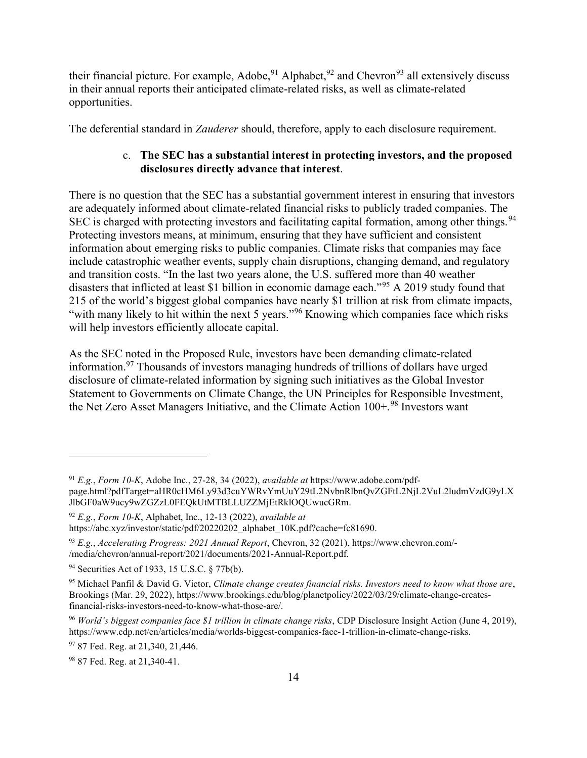their financial picture. For example, Adobe,<sup>91</sup> Alphabet,<sup>92</sup> and Chevron<sup>93</sup> all extensively discuss in their annual reports their anticipated climate-related risks, as well as climate-related opportunities.

The deferential standard in *Zauderer* should, therefore, apply to each disclosure requirement.

## c. The SEC has a substantial interest in protecting investors, and the proposed disclosures directly advance that interest.

There is no question that the SEC has a substantial government interest in ensuring that investors are adequately informed about climate-related financial risks to publicly traded companies. The SEC is charged with protecting investors and facilitating capital formation, among other things.<sup>94</sup> Protecting investors means, at minimum, ensuring that they have sufficient and consistent information about emerging risks to public companies. Climate risks that companies may face include catastrophic weather events, supply chain disruptions, changing demand, and regulatory and transition costs. "In the last two years alone, the U.S. suffered more than 40 weather disasters that inflicted at least \$1 billion in economic damage each."<sup>95</sup> A 2019 study found that 215 of the world's biggest global companies have nearly \$1 trillion at risk from climate impacts, "with many likely to hit within the next 5 years."<sup>96</sup> Knowing which companies face which risks will help investors efficiently allocate capital.

As the SEC noted in the Proposed Rule, investors have been demanding climate-related information.<sup>97</sup> Thousands of investors managing hundreds of trillions of dollars have urged disclosure of climate-related information by signing such initiatives as the Global Investor Statement to Governments on Climate Change, the UN Principles for Responsible Investment, the Net Zero Asset Managers Initiative, and the Climate Action 100+.<sup>98</sup> Investors want

 $91 E.g., Form 10-K, Adobe Inc., 27-28, 34 (2022), available at <https://www.adobe.com/pdf-1>$ page.html?pdfTarget=aHR0cHM6Ly93d3cuYWRvYmUuY29tL2NvbnRlbnQvZGFtL2NjL2VuL2ludmVzdG9yLX JlbGF0aW9ucy9wZGZzL0FEQkUtMTBLLUZZMjEtRklOQUwucGRm.

 $92$  E.g., Form 10-K, Alphabet, Inc., 12-13 (2022), available at https://abc.xyz/investor/static/pdf/20220202\_alphabet\_10K.pdf?cache=fc81690.

<sup>93</sup> E.g., Accelerating Progress: 2021 Annual Report, Chevron, 32 (2021), https://www.chevron.com/- /media/chevron/annual-report/2021/documents/2021-Annual-Report.pdf.

<sup>94</sup> Securities Act of 1933, 15 U.S.C. § 77b(b).

<sup>95</sup> Michael Panfil & David G. Victor, Climate change creates financial risks. Investors need to know what those are, Brookings (Mar. 29, 2022), https://www.brookings.edu/blog/planetpolicy/2022/03/29/climate-change-createsfinancial-risks-investors-need-to-know-what-those-are/.

<sup>96</sup> World's biggest companies face \$1 trillion in climate change risks, CDP Disclosure Insight Action (June 4, 2019), https://www.cdp.net/en/articles/media/worlds-biggest-companies-face-1-trillion-in-climate-change-risks.

<sup>&</sup>lt;sup>97</sup> 87 Fed. Reg. at 21,340, 21,446.

<sup>&</sup>lt;sup>98</sup> 87 Fed. Reg. at 21,340-41.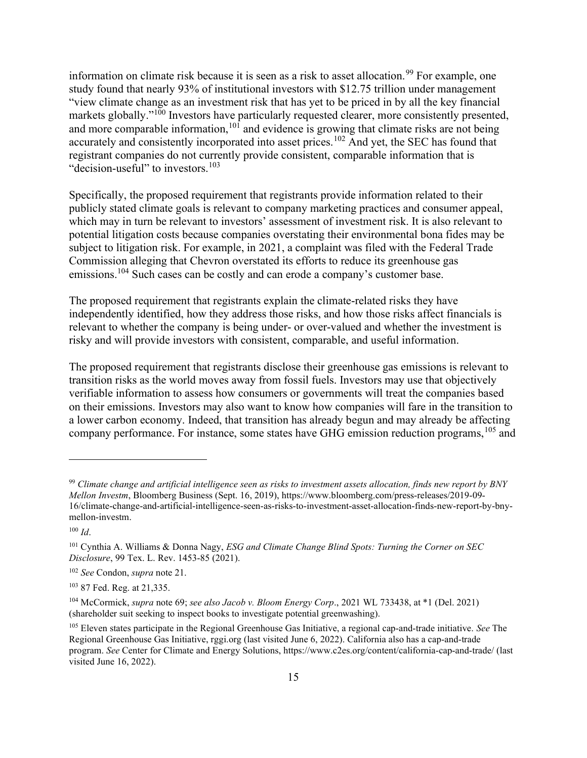information on climate risk because it is seen as a risk to asset allocation.<sup>99</sup> For example, one study found that nearly 93% of institutional investors with \$12.75 trillion under management "view climate change as an investment risk that has yet to be priced in by all the key financial markets globally."<sup>100</sup> Investors have particularly requested clearer, more consistently presented, and more comparable information,<sup>101</sup> and evidence is growing that climate risks are not being accurately and consistently incorporated into asset prices.<sup>102</sup> And yet, the SEC has found that registrant companies do not currently provide consistent, comparable information that is "decision-useful" to investors.<sup>103</sup>

Specifically, the proposed requirement that registrants provide information related to their publicly stated climate goals is relevant to company marketing practices and consumer appeal, which may in turn be relevant to investors' assessment of investment risk. It is also relevant to potential litigation costs because companies overstating their environmental bona fides may be subject to litigation risk. For example, in 2021, a complaint was filed with the Federal Trade Commission alleging that Chevron overstated its efforts to reduce its greenhouse gas emissions.<sup>104</sup> Such cases can be costly and can erode a company's customer base.

The proposed requirement that registrants explain the climate-related risks they have independently identified, how they address those risks, and how those risks affect financials is relevant to whether the company is being under- or over-valued and whether the investment is risky and will provide investors with consistent, comparable, and useful information.

The proposed requirement that registrants disclose their greenhouse gas emissions is relevant to transition risks as the world moves away from fossil fuels. Investors may use that objectively verifiable information to assess how consumers or governments will treat the companies based on their emissions. Investors may also want to know how companies will fare in the transition to a lower carbon economy. Indeed, that transition has already begun and may already be affecting company performance. For instance, some states have GHG emission reduction programs, <sup>105</sup> and

 $99$  Climate change and artificial intelligence seen as risks to investment assets allocation, finds new report by BNY Mellon Investm, Bloomberg Business (Sept. 16, 2019), https://www.bloomberg.com/press-releases/2019-09- 16/climate-change-and-artificial-intelligence-seen-as-risks-to-investment-asset-allocation-finds-new-report-by-bnymellon-investm.

 $100$  *Id.* 

 $101$  Cynthia A. Williams & Donna Nagy, ESG and Climate Change Blind Spots: Turning the Corner on SEC Disclosure, 99 Tex. L. Rev. 1453-85 (2021).

<sup>102</sup> See Condon, supra note 21.

<sup>103</sup> 87 Fed. Reg. at 21,335.

 $104$  McCormick, supra note 69; see also Jacob v. Bloom Energy Corp., 2021 WL 733438, at \*1 (Del. 2021) (shareholder suit seeking to inspect books to investigate potential greenwashing).

<sup>&</sup>lt;sup>105</sup> Eleven states participate in the Regional Greenhouse Gas Initiative, a regional cap-and-trade initiative. See The Regional Greenhouse Gas Initiative, rggi.org (last visited June 6, 2022). California also has a cap-and-trade program. See Center for Climate and Energy Solutions, https://www.c2es.org/content/california-cap-and-trade/ (last visited June 16, 2022).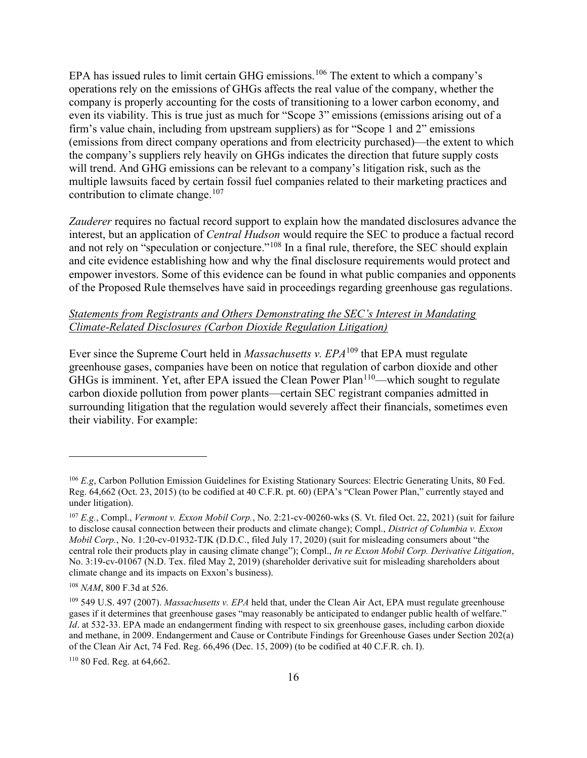EPA has issued rules to limit certain GHG emissions.<sup>106</sup> The extent to which a company's operations rely on the emissions of GHGs affects the real value of the company, whether the company is properly accounting for the costs of transitioning to a lower carbon economy, and even its viability. This is true just as much for "Scope 3" emissions (emissions arising out of a firm's value chain, including from upstream suppliers) as for "Scope 1 and 2" emissions (emissions from direct company operations and from electricity purchased)—the extent to which the company's suppliers rely heavily on GHGs indicates the direction that future supply costs will trend. And GHG emissions can be relevant to a company's litigation risk, such as the multiple lawsuits faced by certain fossil fuel companies related to their marketing practices and contribution to climate change.<sup>107</sup>

Zauderer requires no factual record support to explain how the mandated disclosures advance the interest, but an application of Central Hudson would require the SEC to produce a factual record and not rely on "speculation or conjecture."<sup>108</sup> In a final rule, therefore, the SEC should explain and cite evidence establishing how and why the final disclosure requirements would protect and empower investors. Some of this evidence can be found in what public companies and opponents of the Proposed Rule themselves have said in proceedings regarding greenhouse gas regulations.

### Statements from Registrants and Others Demonstrating the SEC's Interest in Mandating Climate-Related Disclosures (Carbon Dioxide Regulation Litigation)

Ever since the Supreme Court held in *Massachusetts v. EPA*<sup>109</sup> that EPA must regulate greenhouse gases, companies have been on notice that regulation of carbon dioxide and other  $GHSs$  is imminent. Yet, after EPA issued the Clean Power Plan<sup>110</sup>—which sought to regulate carbon dioxide pollution from power plants—certain SEC registrant companies admitted in surrounding litigation that the regulation would severely affect their financials, sometimes even their viability. For example:

 $106$  E.g, Carbon Pollution Emission Guidelines for Existing Stationary Sources: Electric Generating Units, 80 Fed. Reg. 64,662 (Oct. 23, 2015) (to be codified at 40 C.F.R. pt. 60) (EPA's "Clean Power Plan," currently stayed and under litigation).

 $107$  E.g., Compl., Vermont v. Exxon Mobil Corp., No. 2:21-cv-00260-wks (S. Vt. filed Oct. 22, 2021) (suit for failure to disclose causal connection between their products and climate change); Compl., District of Columbia v. Exxon Mobil Corp., No. 1:20-cv-01932-TJK (D.D.C., filed July 17, 2020) (suit for misleading consumers about "the central role their products play in causing climate change"); Compl., In re Exxon Mobil Corp. Derivative Litigation, No. 3:19-cv-01067 (N.D. Tex. filed May 2, 2019) (shareholder derivative suit for misleading shareholders about climate change and its impacts on Exxon's business).

<sup>108</sup> NAM, 800 F.3d at 526.

<sup>&</sup>lt;sup>109</sup> 549 U.S. 497 (2007). Massachusetts v. EPA held that, under the Clean Air Act, EPA must regulate greenhouse gases if it determines that greenhouse gases "may reasonably be anticipated to endanger public health of welfare." Id. at 532-33. EPA made an endangerment finding with respect to six greenhouse gases, including carbon dioxide and methane, in 2009. Endangerment and Cause or Contribute Findings for Greenhouse Gases under Section 202(a) of the Clean Air Act, 74 Fed. Reg. 66,496 (Dec. 15, 2009) (to be codified at 40 C.F.R. ch. I).

<sup>110</sup> 80 Fed. Reg. at 64,662.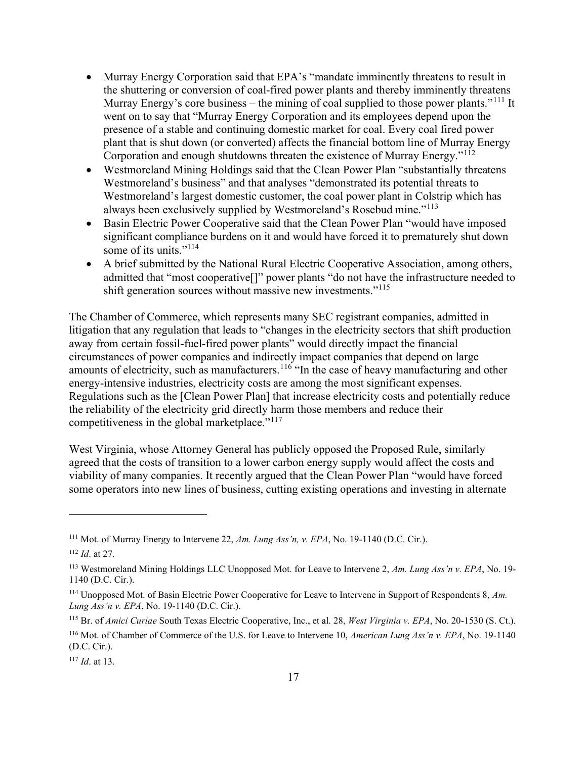- Murray Energy Corporation said that EPA's "mandate imminently threatens to result in the shuttering or conversion of coal-fired power plants and thereby imminently threatens Murray Energy's core business – the mining of coal supplied to those power plants."<sup>111</sup> It went on to say that "Murray Energy Corporation and its employees depend upon the presence of a stable and continuing domestic market for coal. Every coal fired power plant that is shut down (or converted) affects the financial bottom line of Murray Energy Corporation and enough shutdowns threaten the existence of Murray Energy."<sup>112</sup>
- Westmoreland Mining Holdings said that the Clean Power Plan "substantially threatens Westmoreland's business" and that analyses "demonstrated its potential threats to Westmoreland's largest domestic customer, the coal power plant in Colstrip which has always been exclusively supplied by Westmoreland's Rosebud mine."<sup>113</sup>
- Basin Electric Power Cooperative said that the Clean Power Plan "would have imposed significant compliance burdens on it and would have forced it to prematurely shut down some of its units."<sup>114</sup>
- A brief submitted by the National Rural Electric Cooperative Association, among others, admitted that "most cooperative[]" power plants "do not have the infrastructure needed to shift generation sources without massive new investments."<sup>115</sup>

The Chamber of Commerce, which represents many SEC registrant companies, admitted in litigation that any regulation that leads to "changes in the electricity sectors that shift production away from certain fossil-fuel-fired power plants" would directly impact the financial circumstances of power companies and indirectly impact companies that depend on large amounts of electricity, such as manufacturers.<sup>116</sup> "In the case of heavy manufacturing and other energy-intensive industries, electricity costs are among the most significant expenses. Regulations such as the [Clean Power Plan] that increase electricity costs and potentially reduce the reliability of the electricity grid directly harm those members and reduce their competitiveness in the global marketplace."<sup>117</sup>

West Virginia, whose Attorney General has publicly opposed the Proposed Rule, similarly agreed that the costs of transition to a lower carbon energy supply would affect the costs and viability of many companies. It recently argued that the Clean Power Plan "would have forced some operators into new lines of business, cutting existing operations and investing in alternate

<sup>&</sup>lt;sup>111</sup> Mot. of Murray Energy to Intervene 22, Am. Lung Ass'n, v. EPA, No. 19-1140 (D.C. Cir.).

 $112$  *Id.* at 27.

<sup>&</sup>lt;sup>113</sup> Westmoreland Mining Holdings LLC Unopposed Mot. for Leave to Intervene 2, Am. Lung Ass'n v. EPA, No. 19-1140 (D.C. Cir.).

<sup>&</sup>lt;sup>114</sup> Unopposed Mot. of Basin Electric Power Cooperative for Leave to Intervene in Support of Respondents  $8$ , Am. Lung Ass'n v. EPA, No. 19-1140 (D.C. Cir.).

<sup>&</sup>lt;sup>115</sup> Br. of *Amici Curiae* South Texas Electric Cooperative, Inc., et al. 28, West Virginia v. EPA, No. 20-1530 (S. Ct.).

<sup>&</sup>lt;sup>116</sup> Mot. of Chamber of Commerce of the U.S. for Leave to Intervene 10, *American Lung Ass'n v. EPA*, No. 19-1140 (D.C. Cir.).

 $117$  *Id.* at 13.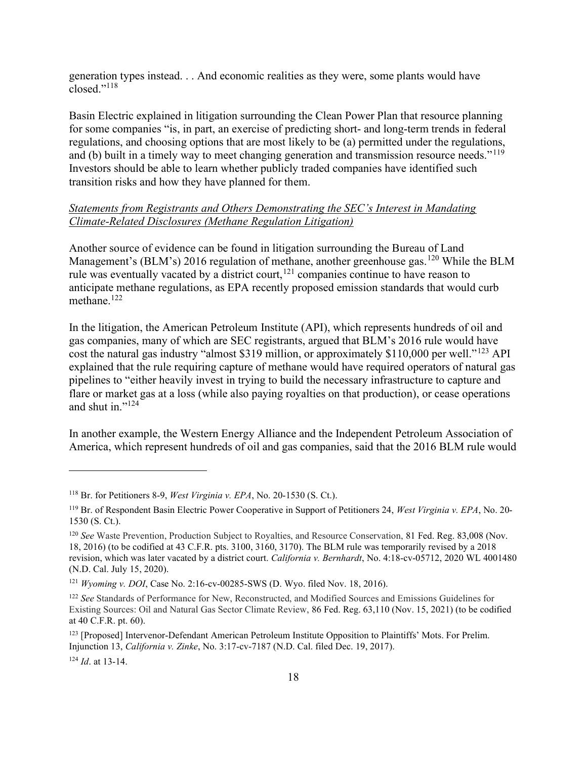generation types instead. . . And economic realities as they were, some plants would have closed."<sup>118</sup>

Basin Electric explained in litigation surrounding the Clean Power Plan that resource planning for some companies "is, in part, an exercise of predicting short- and long-term trends in federal regulations, and choosing options that are most likely to be (a) permitted under the regulations, and (b) built in a timely way to meet changing generation and transmission resource needs."<sup>119</sup> Investors should be able to learn whether publicly traded companies have identified such transition risks and how they have planned for them.

### Statements from Registrants and Others Demonstrating the SEC's Interest in Mandating Climate-Related Disclosures (Methane Regulation Litigation)

Another source of evidence can be found in litigation surrounding the Bureau of Land Management's (BLM's) 2016 regulation of methane, another greenhouse gas.<sup>120</sup> While the BLM rule was eventually vacated by a district court,<sup>121</sup> companies continue to have reason to anticipate methane regulations, as EPA recently proposed emission standards that would curb methane.<sup>122</sup>

In the litigation, the American Petroleum Institute (API), which represents hundreds of oil and gas companies, many of which are SEC registrants, argued that BLM's 2016 rule would have cost the natural gas industry "almost \$319 million, or approximately \$110,000 per well."<sup>123</sup> API explained that the rule requiring capture of methane would have required operators of natural gas pipelines to "either heavily invest in trying to build the necessary infrastructure to capture and flare or market gas at a loss (while also paying royalties on that production), or cease operations and shut in."<sup>124</sup>

In another example, the Western Energy Alliance and the Independent Petroleum Association of America, which represent hundreds of oil and gas companies, said that the 2016 BLM rule would

<sup>&</sup>lt;sup>118</sup> Br. for Petitioners 8-9, *West Virginia v. EPA*, No. 20-1530 (S. Ct.).

<sup>&</sup>lt;sup>119</sup> Br. of Respondent Basin Electric Power Cooperative in Support of Petitioners 24, West Virginia v. EPA, No. 20-1530 (S. Ct.).

<sup>&</sup>lt;sup>120</sup> See Waste Prevention, Production Subject to Royalties, and Resource Conservation, 81 Fed. Reg. 83,008 (Nov. 18, 2016) (to be codified at 43 C.F.R. pts. 3100, 3160, 3170). The BLM rule was temporarily revised by a 2018 revision, which was later vacated by a district court. California v. Bernhardt, No. 4:18-cv-05712, 2020 WL 4001480 (N.D. Cal. July 15, 2020).

<sup>&</sup>lt;sup>121</sup> Wyoming v. DOI, Case No. 2:16-cv-00285-SWS (D. Wyo. filed Nov. 18, 2016).

<sup>&</sup>lt;sup>122</sup> See Standards of Performance for New, Reconstructed, and Modified Sources and Emissions Guidelines for Existing Sources: Oil and Natural Gas Sector Climate Review, 86 Fed. Reg. 63,110 (Nov. 15, 2021) (to be codified at 40 C.F.R. pt. 60).

<sup>&</sup>lt;sup>123</sup> [Proposed] Intervenor-Defendant American Petroleum Institute Opposition to Plaintiffs' Mots. For Prelim. Injunction 13, California v. Zinke, No. 3:17-cv-7187 (N.D. Cal. filed Dec. 19, 2017).

 $124$  *Id.* at 13-14.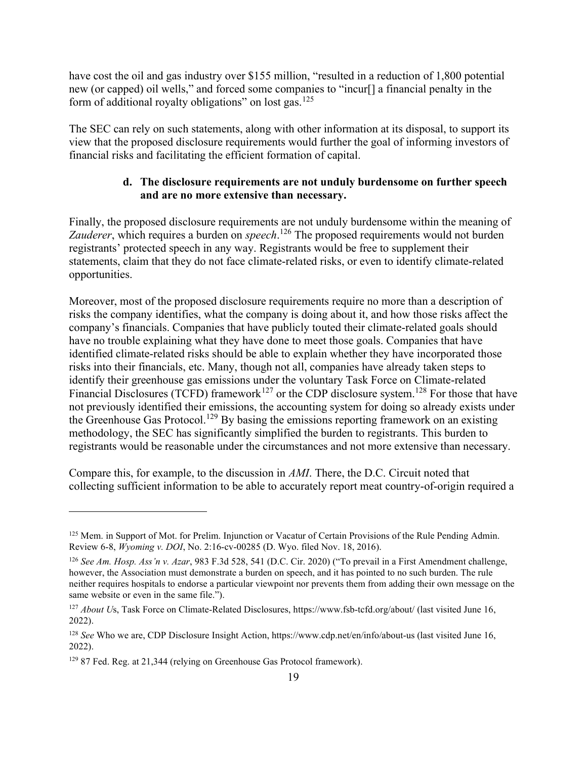have cost the oil and gas industry over \$155 million, "resulted in a reduction of 1,800 potential new (or capped) oil wells," and forced some companies to "incur[] a financial penalty in the form of additional royalty obligations" on lost gas.<sup>125</sup>

The SEC can rely on such statements, along with other information at its disposal, to support its view that the proposed disclosure requirements would further the goal of informing investors of financial risks and facilitating the efficient formation of capital.

### d. The disclosure requirements are not unduly burdensome on further speech and are no more extensive than necessary.

Finally, the proposed disclosure requirements are not unduly burdensome within the meaning of Zauderer, which requires a burden on *speech*.<sup>126</sup> The proposed requirements would not burden registrants' protected speech in any way. Registrants would be free to supplement their statements, claim that they do not face climate-related risks, or even to identify climate-related opportunities.

Moreover, most of the proposed disclosure requirements require no more than a description of risks the company identifies, what the company is doing about it, and how those risks affect the company's financials. Companies that have publicly touted their climate-related goals should have no trouble explaining what they have done to meet those goals. Companies that have identified climate-related risks should be able to explain whether they have incorporated those risks into their financials, etc. Many, though not all, companies have already taken steps to identify their greenhouse gas emissions under the voluntary Task Force on Climate-related Financial Disclosures (TCFD) framework<sup>127</sup> or the CDP disclosure system.<sup>128</sup> For those that have not previously identified their emissions, the accounting system for doing so already exists under the Greenhouse Gas Protocol.<sup>129</sup> By basing the emissions reporting framework on an existing methodology, the SEC has significantly simplified the burden to registrants. This burden to registrants would be reasonable under the circumstances and not more extensive than necessary.

Compare this, for example, to the discussion in AMI. There, the D.C. Circuit noted that collecting sufficient information to be able to accurately report meat country-of-origin required a

<sup>&</sup>lt;sup>125</sup> Mem. in Support of Mot. for Prelim. Injunction or Vacatur of Certain Provisions of the Rule Pending Admin. Review 6-8, Wyoming v. DOI, No. 2:16-cv-00285 (D. Wyo. filed Nov. 18, 2016).

<sup>&</sup>lt;sup>126</sup> See Am. Hosp. Ass'n v. Azar, 983 F.3d 528, 541 (D.C. Cir. 2020) ("To prevail in a First Amendment challenge, however, the Association must demonstrate a burden on speech, and it has pointed to no such burden. The rule neither requires hospitals to endorse a particular viewpoint nor prevents them from adding their own message on the same website or even in the same file.").

<sup>&</sup>lt;sup>127</sup> About Us, Task Force on Climate-Related Disclosures, https://www.fsb-tcfd.org/about/ (last visited June 16, 2022).

<sup>128</sup> See Who we are, CDP Disclosure Insight Action, https://www.cdp.net/en/info/about-us (last visited June 16, 2022).

<sup>&</sup>lt;sup>129</sup> 87 Fed. Reg. at 21,344 (relying on Greenhouse Gas Protocol framework).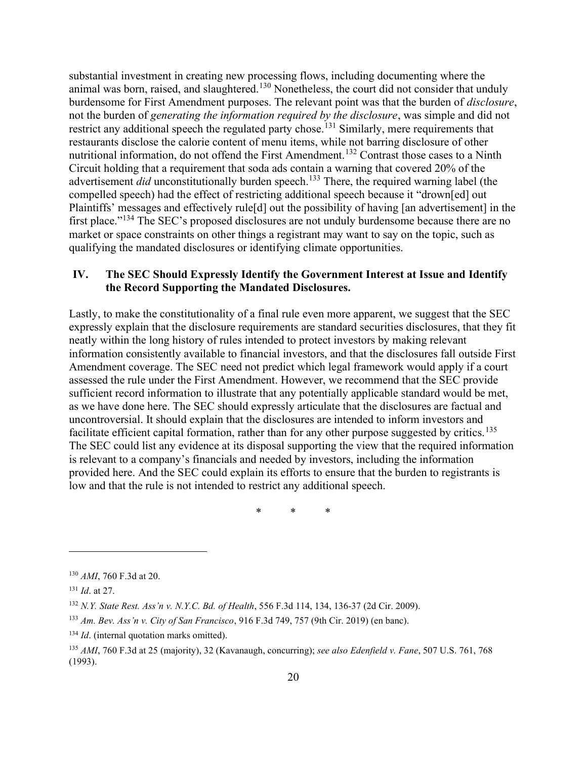substantial investment in creating new processing flows, including documenting where the animal was born, raised, and slaughtered.<sup>130</sup> Nonetheless, the court did not consider that unduly burdensome for First Amendment purposes. The relevant point was that the burden of disclosure, not the burden of generating the information required by the disclosure, was simple and did not restrict any additional speech the regulated party chose.<sup>131</sup> Similarly, mere requirements that restaurants disclose the calorie content of menu items, while not barring disclosure of other nutritional information, do not offend the First Amendment.<sup>132</sup> Contrast those cases to a Ninth Circuit holding that a requirement that soda ads contain a warning that covered 20% of the advertisement  $did$  unconstitutionally burden speech.<sup>133</sup> There, the required warning label (the compelled speech) had the effect of restricting additional speech because it "drown[ed] out Plaintiffs' messages and effectively rule[d] out the possibility of having [an advertisement] in the first place."<sup>134</sup> The SEC's proposed disclosures are not unduly burdensome because there are no market or space constraints on other things a registrant may want to say on the topic, such as qualifying the mandated disclosures or identifying climate opportunities.

## IV. The SEC Should Expressly Identify the Government Interest at Issue and Identify the Record Supporting the Mandated Disclosures.

Lastly, to make the constitutionality of a final rule even more apparent, we suggest that the SEC expressly explain that the disclosure requirements are standard securities disclosures, that they fit neatly within the long history of rules intended to protect investors by making relevant information consistently available to financial investors, and that the disclosures fall outside First Amendment coverage. The SEC need not predict which legal framework would apply if a court assessed the rule under the First Amendment. However, we recommend that the SEC provide sufficient record information to illustrate that any potentially applicable standard would be met, as we have done here. The SEC should expressly articulate that the disclosures are factual and uncontroversial. It should explain that the disclosures are intended to inform investors and facilitate efficient capital formation, rather than for any other purpose suggested by critics.<sup>135</sup> The SEC could list any evidence at its disposal supporting the view that the required information is relevant to a company's financials and needed by investors, including the information provided here. And the SEC could explain its efforts to ensure that the burden to registrants is low and that the rule is not intended to restrict any additional speech.

\* \* \*

<sup>130</sup> AMI, 760 F.3d at 20.

<sup>&</sup>lt;sup>131</sup> *Id.* at 27.

<sup>132</sup> N.Y. State Rest. Ass'n v. N.Y.C. Bd. of Health, 556 F.3d 114, 134, 136-37 (2d Cir. 2009).

<sup>133</sup> Am. Bev. Ass'n v. City of San Francisco, 916 F.3d 749, 757 (9th Cir. 2019) (en banc).

 $134$  *Id.* (internal quotation marks omitted).

<sup>&</sup>lt;sup>135</sup> AMI, 760 F.3d at 25 (majority), 32 (Kavanaugh, concurring); see also Edenfield v. Fane, 507 U.S. 761, 768 (1993).